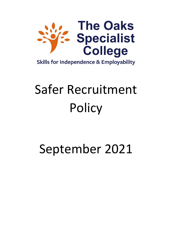

# Safer Recruitment **Policy**

# September 2021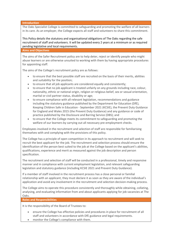**Introduction**

The Oaks Specialist College is committed to safeguarding and promoting the welfare of all learners in its care. As an employer, the College expects all staff and volunteers to share this commitment.

This Policy details the statutory and organisational obligations of The Oaks regarding the safe recruitment of staff and volunteers. It will be updated every 2 years at a minimum or as required pending legislative and local requirements.

**Aims and Objectives**

The aims of the Safer Recruitment policy are to help deter, reject or identify people who might abuse learners or are otherwise unsuited to working with them by having appropriate procedures for appointing staff.

The aims of the College's recruitment policy are as follows:

- to ensure that the best possible staff are recruited on the basis of their merits, abilities and suitability for the position;
- to ensure that all job applicants are considered equally and consistently;
- to ensure that no job applicant is treated unfairly on any grounds including race, colour, nationality, ethnic or national origin, religion or religious belief, sex or sexual orientation, marital or civil partner status, disability or age;
- to ensure compliance with all relevant legislation, recommendations and guidance including the statutory guidance published by the Department for Education (DfE), Keeping Children Safe in Education - September 2021 (KCSIE), the Prevent Duty Guidance for England and Wales 2015 (the Prevent Duty Guidance) and any guidance or code of practice published by the Disclosure and Barring Service (DBS); and
- to ensure that the College meets its commitment to safeguarding and promoting the welfare of our learners by carrying out all necessary pre-employment checks.

Employees involved in the recruitment and selection of staff are responsible for familiarising themselves with and complying with the provisions of this policy.

The College has a principle of open competition in its approach to recruitment and will seek to recruit the best applicant for the job. The recruitment and selection process should ensure the identification of the person best suited to the job at the College based on the applicant's abilities, qualifications, experience and merit as measured against the job description and person specification.

The recruitment and selection of staff will be conducted in a professional, timely and responsive manner and in compliance with current employment legislation, and relevant safeguarding legislation and statutory guidance (including KCSIE 2021 and Prevent Duty Guidance).

If a member of staff involved in the recruitment process has a close personal or familial relationship with an applicant, they must declare it as soon as they are aware of the individual's application and avoid any involvement in the recruitment and selection decision-making process.

The College aims to operate this procedure consistently and thoroughly while obtaining, collating, analysing, and evaluating information from and about applicants applying for job vacancies at The Oaks.

**Roles and Responsibilities**

It is the responsibility of the Board of Trustees to:

- ensure the College has effective policies and procedures in place for recruitment of all staff and volunteers in accordance with DfE guidance and legal requirements.
- monitor the College's compliance with them.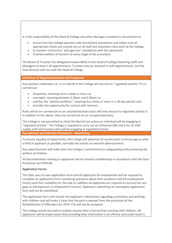It is the responsibility of the Head of College and other Managers involved in recruitment to:

- ensure that the College operates safe recruitment procedures and makes sure all appropriate checks are carried out on all staff and volunteers who work at the College.
- to monitor contractors' and agencies' compliance with this document.
- Promote welfare of learners at every stage of the procedure.

The Board of Trustees has delegated responsibility to the Head of College (teaching staff) and Managers to lead in all appointments. Trustees may be involved in staff appointments, but the final decision will rest with the Head of College.

**Definition of Regulated Activity and Frequency**

Any position undertaken at, or on behalf of the College will amount to "regulated activity" if it is carried out:

- frequently, meaning once a week or more; or
- overnight, meaning between 2.00am and 6.00am; or
- satisfies the "period condition", meaning four times or more in a 30-day period; and
- provides the opportunity for contact with learners.

Roles which are carried out on an unpaid/voluntary basis will only amount to regulated activity if, in addition to the above, they are carried out on an unsupervised basis.

The College is not permitted to check the Barred List unless an individual will be engaging in "regulated activity". The College is required to carry out an enhanced DBS check for all staff, supply staff and trustees who will be engaging in regulated activity. **Recruitment and Selection Procedure – Advertising**

To ensure equality of opportunity, the College will advertise all vacant posts to encourage as wide a field of applicant as possible, normally this entails an external advertisement.

Any advertisement will make clear the College's commitment to safeguarding and promoting the welfare of children.

All documentation relating to applicants will be treated confidentially in accordance with the Data Protection Act (DPA18).

# **Application Forms:**

The Oaks uses its own application form and all applicants for employment will be required to complete an application form containing questions about their academic and full employment history and their suitability for the role (in addition all applicants are required to account for any gaps or discrepancies in employment history). Applicants submitting an incomplete application form will not be shortlisted.

The application form will include the applicant's declaration regarding convictions and working with children and will make it clear that the post is exempt from the provisions of the Rehabilitation of Offenders Act 1974. CVs will not be accepted.

The College would not seek to employ anyone who is barred from working with children. All applicants will be made aware that providing false information is an offence and could result in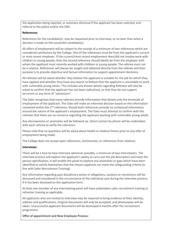the application being rejected, or summary dismissal if the applicant has been selected, and referral to the police and/or the DBS.

# **References:**

References for the candidate(s) may be requested prior to interview, or no later than when a decision is made on the successful candidate(s).

All offers of employment will be subject to the receipt of a minimum of two references which are considered satisfactory by the College. One of the references must be from the applicant's current or most recent employer. If the current/most recent employment does/did not involve work with children or young people, then the second reference should ideally be from the employer with whom the applicant most recently worked with children or young people. The referee must not be a relative. References will always be sought and obtained directly from the referee and their purpose is to provide objective and factual information to support appointment decisions.

All referees will be asked whether they believe the applicant is suitable for the job for which they have applied and whether they have any reason to believe that the applicant is unsuitable to work with vulnerable young adults. This includes any known details regarding Referees will also be asked to confirm that the applicant has not been radicalised, so that they do not support terrorism or any form of "extremism".

The Oaks recognises that many referees provide information that details only the timescale of employment of the applicant. The Oaks will make an informed decision based on the information contained within the 2<sup>nd</sup> reference. Should both references provide no contextual information around the nature of the applicant's employment, The Oaks must attempt to confirm with the referees that there are no concerns regarding the applicant working with vulnerable young adults.

Any discrepancies or anomalies will be followed up. Direct contact by phone will be undertaken with each referee to verify the reference.

Please note that no questions will be asked about health or medical fitness prior to any offer of employment being made.

The College does not accept open references, testimonials, or references from relatives.

# **Interviews:**

There will be a face-to-face interview wherever possible, a minimum of two interviewers. The interview process will explore the applicant's ability to carry out the job description and meet the person specification. It will enable the panel to explore any anomalies or gaps which have been identified to satisfy themselves that the chosen applicant can meet the safeguarding criteria (in line with Safer Recruitment Training).

Any information regarding past disciplinary action or allegations, cautions or convictions will be discussed and considered in the circumstance of the individual case during the interview process, if it has been disclosed on the application form.

At least one member of any interviewing panel will have undertaken safer recruitment training or refresher training as applicable.

All applicants who are invited to interview may be required to bring evidence of their identity, address and qualifications. Original documents will only be accepted, and photocopies will be taken. Unsuccessful applicant documents will be destroyed 6 months after the recruitment programme.

**Offer of appointment and New Employee Process:**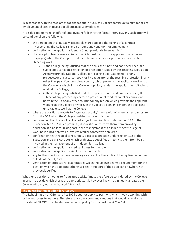In accordance with the recommendations set out in KCSIE the College carries out a number of preemployment checks in respect of all prospective employees.

If it is decided to make an offer of employment following the formal interview, any such offer will be conditional on the following:

- the agreement of a mutually acceptable start date and the signing of a contract incorporating the College's standard terms and conditions of employment
- verification of the applicant's identity (if not previously been verified)
- the receipt of two references (one of which must be from the applicant's most recent employer) which the College considers to be satisfactory for positions which involve "teaching work":
	- $\circ$  i. the College being satisfied that the applicant is not, and has never been, the subject of a sanction, restriction or prohibition issued by the Teaching Regulation Agency (formerly National College for Teaching and Leadership), or any predecessor or successor body, or by a regulator of the teaching profession in any other European Economic Area country which prevents the applicant working at the College or which, in the College's opinion, renders the applicant unsuitable to work at the College;
	- o ii. the College being satisfied that the applicant is not, and has never been, the subject of any proceedings before a professional conduct panel or equivalent body in the UK or any other country for any reason which prevents the applicant working at the College or which, in the College's opinion, renders the applicant unsuitable to work at the College
- where the position amounts to "regulated activity" the receipt of an enhanced disclosure from the DBS which the College considers to be satisfactory
- confirmation that the applicant is not subject to a direction under section 142 of the Education Act 2002 which prohibits, disqualifies or restricts them from providing education at a College, taking part in the management of an independent College or working in a position which involves regular contact with children
- confirmation that the applicant is not subject to a direction under section 128 of the Education and Skills Act 2008 which prohibits, disqualifies or restricts them from being involved in the management of an independent College
- verification of the applicant's medical fitness for the role
- verification of the applicant's right to work in the UK
- any further checks which are necessary as a result of the applicant having lived or worked outside of the UK; and
- verification of professional qualifications which the College deems a requirement for the post, or which the applicant otherwise cites in support of their application (where not previously verified).

Whether a position amounts to "regulated activity" must therefore be considered by the College in order to decide which checks are appropriate. It is however likely that in nearly all cases the College will carry out an enhanced DBS check.

# **The Rehabilitation of Offenders Act 1974**

The Rehabilitation of Offenders Act 1974 does not apply to positions which involve working with or having access to learners. Therefore, any convictions and cautions that would normally be considered 'SPENT' must be declared when applying for any position at The Oaks.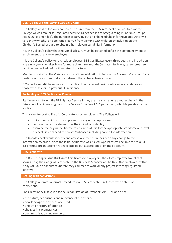# **DBS (Disclosure and Barring Service) Check**

The College applies for an enhanced disclosure from the DBS in respect of all positions at the College which amount to "regulated activity" as defined in the Safeguarding Vulnerable Groups Act 2006 (as amended). The purpose of carrying out an Enhanced Check for Regulated Activity is to identify whether an applicant is barred from working with children by inclusion on the Children's Barred List and to obtain other relevant suitability information.

It is the College's policy that the DBS disclosure must be obtained before the commencement of employment of any new employee.

It is the College's policy to re-check employees' DBS Certificates every three years and in addition any employee who takes leave for more than three months (ie maternity leave, career break etc) must be re-checked before they return back to work.

Members of staff at The Oaks are aware of their obligation to inform the Business Manager of any cautions or convictions that arise between these checks taking place.

DBS checks will still be requested for applicants with recent periods of overseas residence and those with little or no previous UK residence

# **Portability of DBS Certificates Checks**

Staff may wish to join the DBS Update Service if they are likely to require another check in the future. Applicants may sign up to the Service for a fee of £13 per annum, which is payable by the applicant.

This allows for portability of a Certificate across employers. The College will:

- obtain consent from the applicant to carry out an update search.
- confirm the certificate matches the individual's identity.
- examine the original certificate to ensure that it is for the appropriate workforce and level of check, ie enhanced certificate/enhanced including barred list information.

The Update check would identify and advise whether there has been any change to the information recorded, since the initial certificate was issued. Applicants will be able to see a full list of those organisations that have carried out a status check on their account.

# **DBS Certificate**

The DBS no longer issue Disclosure Certificates to employers; therefore employees/applicants should bring their original Certificate to the Business Manager at The Oaks (for employees within 7 days of issue or applicants before they commence work or any project involving regulated activity).

**Dealing with convictions**

The College operates a formal procedure if a DBS Certificate is returned with details of convictions.

Consideration will be given to the Rehabilitation of Offenders Act 1974 and also:

- the nature, seriousness and relevance of the offence;
- how long ago the offence occurred;
- one-off or history of offences;
- changes in circumstances,
- decriminalisation and remorse.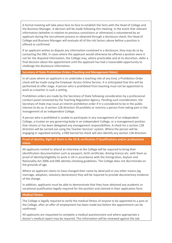A formal meeting will take place face-to-face to establish the facts with the Head of College and the Business Manager. A decision will be made following this meeting. In the event that relevant information (whether in relation to previous convictions or otherwise) is volunteered by an applicant during the recruitment process or obtained through a disclosure check, the Head of College and Business Manager will evaluate all of the risk factors above before a position is offered or confirmed.

If an applicant wishes to dispute any information contained in a disclosure, they may do so by contacting the DBS. In cases where the applicant would otherwise be offered a position were it not for the disputed information, the College may, where practicable and at its discretion, defer a final decision about the appointment until the applicant has had a reasonable opportunity to challenge the disclosure information.

#### **Secretary of State Prohibition Orders (Teaching and Management Roles)**

In all cases where an applicant is to undertake a teaching role of any kind, a Prohibition Order check will be made using the Employer Access Online Service. It is anticipated that this will be performed at offer stage. A person who is prohibited from teaching must not be appointed to work as a teacher in such a setting.

Prohibition orders are made by the Secretary of State following consideration by a professional conduct panel convened by the Teaching Regulation Agency. Pending such consideration, the Secretary of State may issue an interim prohibition order if it is considered to be in the public interest to do so. A section 128 direction 39 prohibits or restricts a person from taking part in the management of an independent College.

A person who is prohibited is unable to participate in any management of an independent College, a trustee on any governing body in an independent College, or a management position that retains or has been delegated any management responsibilities. A check for a section 128 direction will be carried out using the Teacher Services' system. Where the person will be engaging in regulated activity, a DBS barred list check will also identify any section 128 direction.

# **Proof of identity, Right of Work in the UK & verification if Qualifications and/or professional status**

All applicants invited to attend an interview at the College will be required to bring their identification documentation such as passport, birth certificate, driving licence etc. with them as proof of identity/eligibility to work in UK in accordance with the Immigration, Asylum and Nationality Act 2006 and DBS identity checking guidelines. The College does not discriminate on the grounds of age.

Where an applicant claims to have changed their name by deed poll or any other means (eg marriage, adoption, statutory declaration) they will be required to provide documentary evidence of the change.

In addition, applicants must be able to demonstrate that they have obtained any academic or vocational qualification legally required for the position and claimed in their application form.

#### **Medical Fitness**

The College is legally required to verify the medical fitness of anyone to be appointed to a post at the College, after an offer of employment has been made but before the appointment can be confirmed.

All applicants are requested to complete a medical questionnaire and where appropriate a doctor's medical report may be required. This information will be reviewed against the Job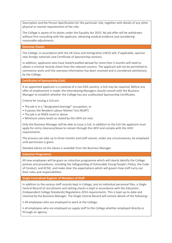Description and the Person Specification for the particular role, together with details of any other physical or mental requirements of the role.

The College is aware of its duties under the Equality Act 2010. No job offer will be withdrawn without first consulting with the applicant, obtaining medical evidence and considering reasonable adjustments.

#### **Overseas Checks**

The College, in accordance with the UK Visas and Immigration (UKVI) will, if applicable, sponsor new foreign nationals (see Certificate of Sponsorship section).

In addition, applicants who have lived/travelled abroad for more than 3 months will need to obtain a criminal records check from the relevant country. The applicant will not be permitted to commence work until the overseas information has been received and is considered satisfactory by the College.

#### **Certificates of Sponsorship (CoS)**

If an appointed applicant is a national of a non-EEA country, a CoS may be required. Before any offer of employment is made, the Interviewing Managers should consult with the Business Manager to establish whether the College has any unallocated Sponsorship Certificates.

Criteria for issuing a CoS are:

- The job is in a "designated shortage" occupation, or
- It passes the Resident Labour Market Test (RLMT)
- The job is at NQF6 Level or above
- Minimum salary levels as stated by the UKVI are met.

Only the Business Manager will be able to issue a CoS. In addition to the CoS the applicant must apply for entry clearance/leave to remain through the UKVI and comply with the UKVI requirements.

The process can take up to three months and staff cannot, under any circumstances, be employed until permission is given.

Detailed advice on the above is available from the Business Manager.

# **Induction Programme**

All new employees will be given an induction programme which will clearly identify the College policies and procedures, including the Safeguarding of Vulnerable Young People's Policy, the Code of Conduct, and KCSIE, and make clear the expectations which will govern how staff carry out their roles and responsibilities.

# **Single Centralised Register of Members of Staff**

In addition to the various staff records kept in College, and on individual personnel files, a Single Central Record of recruitment and vetting checks is kept in accordance with the Education (Independent College Standards) Regulations 2014 requirements. This is kept up-to-date and retained by the Business Manager. The Single Central Record will contain details of the following:-

• All employees who are employed to work at the College;

• all employees who are employed as supply staff to the College whether employed directly or through an agency;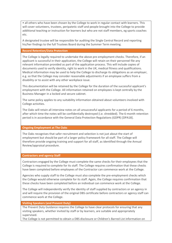• all others who have been chosen by the College to work in regular contact with learners. This will cover volunteers, trustees, peripatetic staff and people brought into the College to provide additional teaching or instruction for learners but who are not staff members, eg sports coaches etc.

A designated trustee will be responsible for auditing the Single Central Record and reporting his/her findings to the full Trustees Board during the Summer Term meeting.

# **Record Retention/Data Protection**

The College is legally required to undertake the above pre-employment checks. Therefore, if an applicant is successful in their application, the College will retain on their personnel file any relevant information provided as part of the application process. This will include copies of documents used to verify identity, right to work in the UK, medical fitness and qualifications. Medical information may be used to help the College to discharge its obligations as an employer, e.g. so that the College may consider reasonable adjustments if an employee suffers from a disability or to assist with any other workplace issue.

This documentation will be retained by the College for the duration of the successful applicant's employment with the College. All information retained on employees is kept centrally by the Business Manager in a locked and secure cabinet.

The same policy applies to any suitability information obtained about volunteers involved with College activities.

The Oaks will retain all interview notes on all unsuccessful applicants for a period of 6 months, after which time the notes will be confidentially destroyed (i.e. shredded). The 6-month retention period is in accordance with the General Data Protection Regulations (GDPR) [DPA18].

# **Ongoing Employment at The Oaks**

The Oaks recognises that safer recruitment and selection is not just about the start of employment but should be part of a larger policy framework for all staff. The College will therefore provide ongoing training and support for all staff, as identified through the Annual Review/appraisal procedure.

# **Contractors and agency Staff**

Contractors engaged by the College must complete the same checks for their employees that the College is required to complete for its staff. The College requires confirmation that these checks have been completed before employees of the Contractor can commence work at the College.

Agencies who supply staff to the College must also complete the pre-employment checks which the College would otherwise complete for its staff. Again, the College requires confirmation that these checks have been completed before an individual can commence work at the College.

The College will independently verify the identity of staff supplied by contractors or an agency in and will require the provision of the original DBS certificate before contractors or agency staff can commence work at the College.

# **Visiting Speakers (and Prevent Duty)**

The Prevent Duty Guidance requires the College to have clear protocols for ensuring that any visiting speakers, whether invited by staff or by learners, are suitable and appropriately supervised.

The College is not permitted to obtain a DBS disclosure or Children's Barred List information on